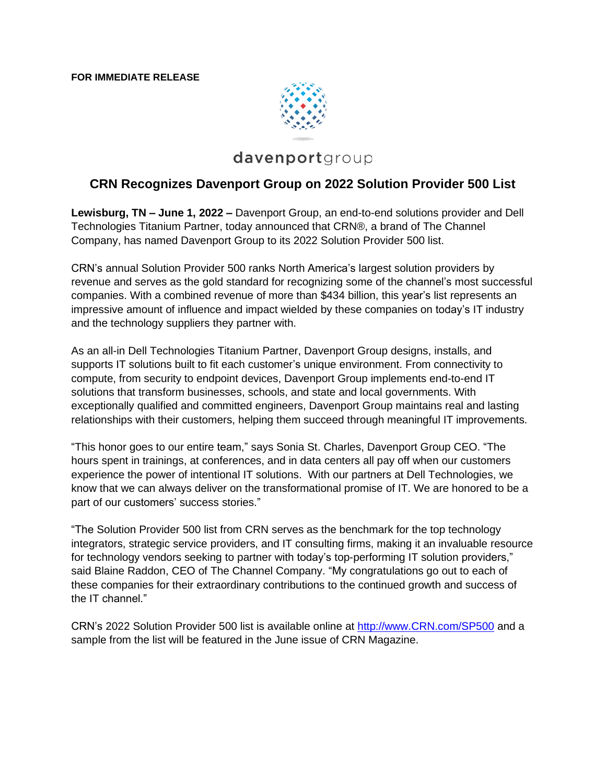

## davenportgroup

## **CRN Recognizes Davenport Group on 2022 Solution Provider 500 List**

**Lewisburg, TN – June 1, 2022 –** Davenport Group, an end-to-end solutions provider and Dell Technologies Titanium Partner, today announced that CRN®, a brand of The Channel Company, has named Davenport Group to its 2022 Solution Provider 500 list.

CRN's annual Solution Provider 500 ranks North America's largest solution providers by revenue and serves as the gold standard for recognizing some of the channel's most successful companies. With a combined revenue of more than \$434 billion, this year's list represents an impressive amount of influence and impact wielded by these companies on today's IT industry and the technology suppliers they partner with.

As an all-in Dell Technologies Titanium Partner, Davenport Group designs, installs, and supports IT solutions built to fit each customer's unique environment. From connectivity to compute, from security to endpoint devices, Davenport Group implements end-to-end IT solutions that transform businesses, schools, and state and local governments. With exceptionally qualified and committed engineers, Davenport Group maintains real and lasting relationships with their customers, helping them succeed through meaningful IT improvements.

"This honor goes to our entire team," says Sonia St. Charles, Davenport Group CEO. "The hours spent in trainings, at conferences, and in data centers all pay off when our customers experience the power of intentional IT solutions. With our partners at Dell Technologies, we know that we can always deliver on the transformational promise of IT. We are honored to be a part of our customers' success stories."

"The Solution Provider 500 list from CRN serves as the benchmark for the top technology integrators, strategic service providers, and IT consulting firms, making it an invaluable resource for technology vendors seeking to partner with today's top-performing IT solution providers," said Blaine Raddon, CEO of The Channel Company. "My congratulations go out to each of these companies for their extraordinary contributions to the continued growth and success of the IT channel."

CRN's 2022 Solution Provider 500 list is available online at [http://www.CRN.com/SP500](http://www.crn.com/SP500) and a sample from the list will be featured in the June issue of CRN Magazine.